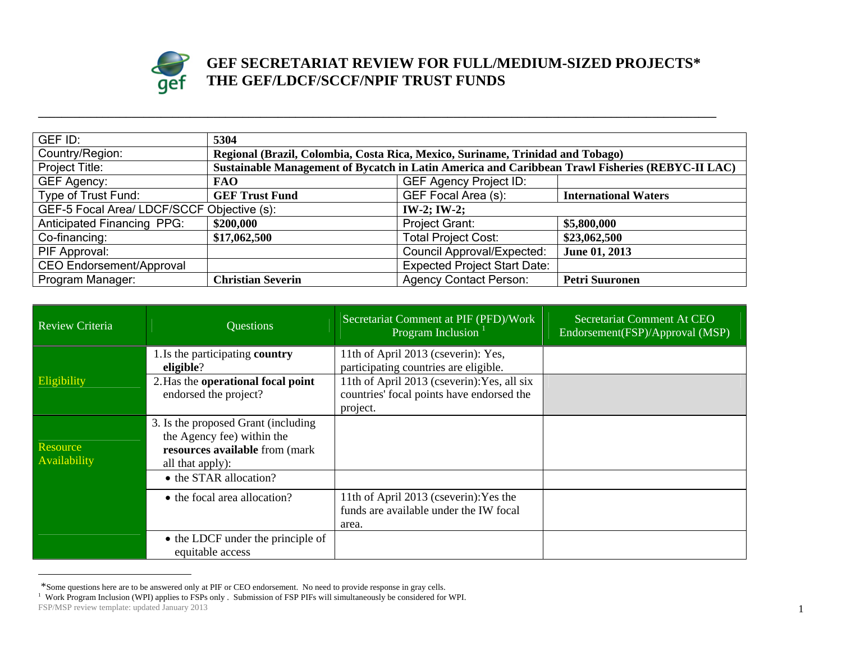

## **GEF SECRETARIAT REVIEW FOR FULL/MEDIUM-SIZED PROJECTS\* THE GEF/LDCF/SCCF/NPIF TRUST FUNDS**

| GEF ID:                                    | 5304                                                                                            |                                     |                             |
|--------------------------------------------|-------------------------------------------------------------------------------------------------|-------------------------------------|-----------------------------|
| Country/Region:                            | Regional (Brazil, Colombia, Costa Rica, Mexico, Suriname, Trinidad and Tobago)                  |                                     |                             |
| Project Title:                             | Sustainable Management of Bycatch in Latin America and Caribbean Trawl Fisheries (REBYC-II LAC) |                                     |                             |
| <b>GEF Agency:</b>                         | <b>FAO</b>                                                                                      | <b>GEF Agency Project ID:</b>       |                             |
| Type of Trust Fund:                        | <b>GEF Trust Fund</b>                                                                           | GEF Focal Area (s):                 | <b>International Waters</b> |
| GEF-5 Focal Area/ LDCF/SCCF Objective (s): |                                                                                                 | $IW-2; IW-2;$                       |                             |
| <b>Anticipated Financing PPG:</b>          | \$200,000                                                                                       | Project Grant:                      | \$5,800,000                 |
| Co-financing:                              | \$17,062,500                                                                                    | <b>Total Project Cost:</b>          | \$23,062,500                |
| PIF Approval:                              |                                                                                                 | <b>Council Approval/Expected:</b>   | June 01, 2013               |
| <b>CEO Endorsement/Approval</b>            |                                                                                                 | <b>Expected Project Start Date:</b> |                             |
| Program Manager:                           | <b>Christian Severin</b>                                                                        | <b>Agency Contact Person:</b>       | <b>Petri Suuronen</b>       |

**\_\_\_\_\_\_\_\_\_\_\_\_\_\_\_\_\_\_\_\_\_\_\_\_\_\_\_\_\_\_\_\_\_\_\_\_\_\_\_\_\_\_\_\_\_\_\_\_\_\_\_\_\_\_\_\_\_\_\_\_\_\_\_\_\_\_\_\_\_\_\_\_\_\_\_\_\_\_\_\_\_\_\_\_\_\_\_\_\_\_\_\_\_\_\_\_\_\_\_\_\_\_\_\_\_\_\_\_\_\_\_\_\_\_\_\_** 

| Review Criteria          | <b>Questions</b>                                                                                                                                   | Secretariat Comment at PIF (PFD)/Work<br>Program Inclusion                                                                                                                           | Secretariat Comment At CEO<br>Endorsement(FSP)/Approval (MSP) |
|--------------------------|----------------------------------------------------------------------------------------------------------------------------------------------------|--------------------------------------------------------------------------------------------------------------------------------------------------------------------------------------|---------------------------------------------------------------|
| Eligibility              | 1. Is the participating country<br>eligible?<br>2. Has the operational focal point<br>endorsed the project?                                        | 11th of April 2013 (cseverin): Yes,<br>participating countries are eligible.<br>11th of April 2013 (cseverin): Yes, all six<br>countries' focal points have endorsed the<br>project. |                                                               |
| Resource<br>Availability | 3. Is the proposed Grant (including)<br>the Agency fee) within the<br>resources available from (mark<br>all that apply):<br>• the STAR allocation? |                                                                                                                                                                                      |                                                               |
|                          | • the focal area allocation?<br>• the LDCF under the principle of<br>equitable access                                                              | 11th of April 2013 (cseverin): Yes the<br>funds are available under the IW focal<br>area.                                                                                            |                                                               |

FSP/MSP review template: updated January 2013 1 \*Some questions here are to be answered only at PIF or CEO endorsement. No need to provide response in gray cells.<br><sup>1</sup> Work Program Inclusion (WPI) applies to FSPs only . Submission of FSP PIFs will simultaneously be consi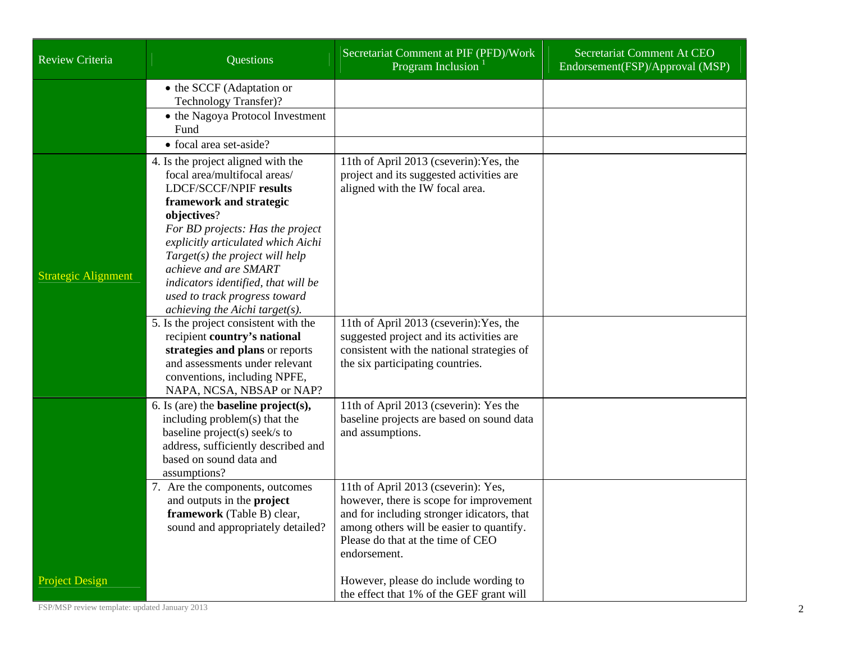| <b>Review Criteria</b>     | Questions                                                                                                                                                                                                                                                                                                                                                                                                                                                                                                                                                                                                  | Secretariat Comment at PIF (PFD)/Work<br>Program Inclusion                                                                                                                                                                                                                                      | Secretariat Comment At CEO<br>Endorsement(FSP)/Approval (MSP) |
|----------------------------|------------------------------------------------------------------------------------------------------------------------------------------------------------------------------------------------------------------------------------------------------------------------------------------------------------------------------------------------------------------------------------------------------------------------------------------------------------------------------------------------------------------------------------------------------------------------------------------------------------|-------------------------------------------------------------------------------------------------------------------------------------------------------------------------------------------------------------------------------------------------------------------------------------------------|---------------------------------------------------------------|
|                            | • the SCCF (Adaptation or<br>Technology Transfer)?<br>• the Nagoya Protocol Investment<br>Fund<br>• focal area set-aside?                                                                                                                                                                                                                                                                                                                                                                                                                                                                                  |                                                                                                                                                                                                                                                                                                 |                                                               |
| <b>Strategic Alignment</b> | 4. Is the project aligned with the<br>focal area/multifocal areas/<br><b>LDCF/SCCF/NPIF results</b><br>framework and strategic<br>objectives?<br>For BD projects: Has the project<br>explicitly articulated which Aichi<br>$Target(s)$ the project will help<br>achieve and are SMART<br>indicators identified, that will be<br>used to track progress toward<br>achieving the Aichi target(s).<br>5. Is the project consistent with the<br>recipient country's national<br>strategies and plans or reports<br>and assessments under relevant<br>conventions, including NPFE,<br>NAPA, NCSA, NBSAP or NAP? | 11th of April 2013 (cseverin): Yes, the<br>project and its suggested activities are<br>aligned with the IW focal area.<br>11th of April 2013 (cseverin): Yes, the<br>suggested project and its activities are<br>consistent with the national strategies of<br>the six participating countries. |                                                               |
|                            | 6. Is (are) the <b>baseline</b> $project(s)$ ,<br>including problem(s) that the<br>baseline project(s) seek/s to<br>address, sufficiently described and<br>based on sound data and<br>assumptions?                                                                                                                                                                                                                                                                                                                                                                                                         | 11th of April 2013 (cseverin): Yes the<br>baseline projects are based on sound data<br>and assumptions.                                                                                                                                                                                         |                                                               |
|                            | 7. Are the components, outcomes<br>and outputs in the project<br>framework (Table B) clear,<br>sound and appropriately detailed?                                                                                                                                                                                                                                                                                                                                                                                                                                                                           | 11th of April 2013 (cseverin): Yes,<br>however, there is scope for improvement<br>and for including stronger idicators, that<br>among others will be easier to quantify.<br>Please do that at the time of CEO<br>endorsement.                                                                   |                                                               |
| <b>Project Design</b>      |                                                                                                                                                                                                                                                                                                                                                                                                                                                                                                                                                                                                            | However, please do include wording to<br>the effect that 1% of the GEF grant will                                                                                                                                                                                                               |                                                               |

FSP/MSP review template: updated January 2013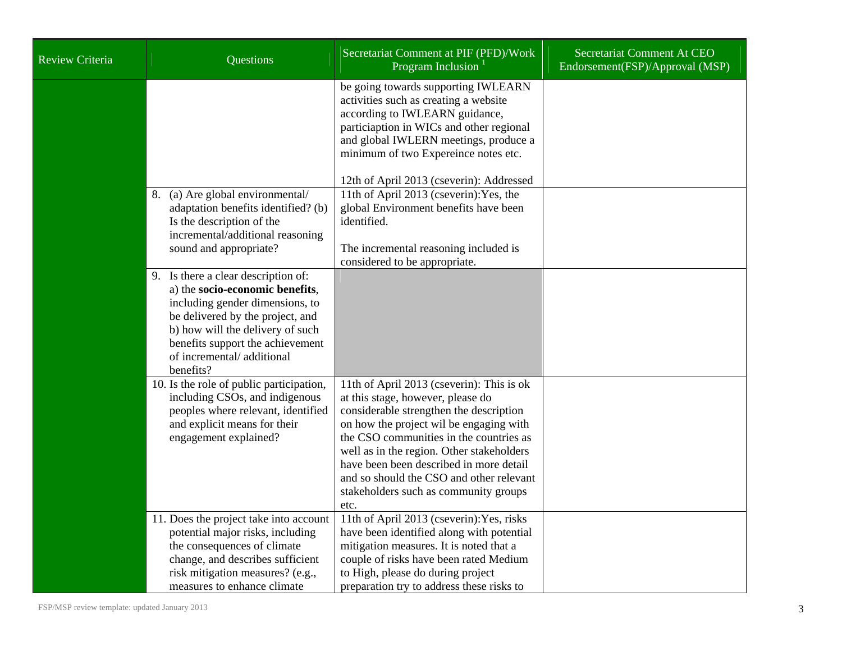| <b>Review Criteria</b> | Questions                                                                                                                                                                                                                                                       | Secretariat Comment at PIF (PFD)/Work<br>Program Inclusion <sup>1</sup>                                                                                                                                                                                                                                                                                                                              | Secretariat Comment At CEO<br>Endorsement(FSP)/Approval (MSP) |
|------------------------|-----------------------------------------------------------------------------------------------------------------------------------------------------------------------------------------------------------------------------------------------------------------|------------------------------------------------------------------------------------------------------------------------------------------------------------------------------------------------------------------------------------------------------------------------------------------------------------------------------------------------------------------------------------------------------|---------------------------------------------------------------|
|                        | 8. (a) Are global environmental/                                                                                                                                                                                                                                | be going towards supporting IWLEARN<br>activities such as creating a website<br>according to IWLEARN guidance,<br>particiaption in WICs and other regional<br>and global IWLERN meetings, produce a<br>minimum of two Expereince notes etc.<br>12th of April 2013 (cseverin): Addressed<br>11th of April 2013 (cseverin): Yes, the                                                                   |                                                               |
|                        | adaptation benefits identified? (b)<br>Is the description of the<br>incremental/additional reasoning<br>sound and appropriate?                                                                                                                                  | global Environment benefits have been<br>identified.<br>The incremental reasoning included is<br>considered to be appropriate.                                                                                                                                                                                                                                                                       |                                                               |
|                        | 9. Is there a clear description of:<br>a) the socio-economic benefits,<br>including gender dimensions, to<br>be delivered by the project, and<br>b) how will the delivery of such<br>benefits support the achievement<br>of incremental/additional<br>benefits? |                                                                                                                                                                                                                                                                                                                                                                                                      |                                                               |
|                        | 10. Is the role of public participation,<br>including CSOs, and indigenous<br>peoples where relevant, identified<br>and explicit means for their<br>engagement explained?                                                                                       | 11th of April 2013 (cseverin): This is ok<br>at this stage, however, please do<br>considerable strengthen the description<br>on how the project wil be engaging with<br>the CSO communities in the countries as<br>well as in the region. Other stakeholders<br>have been been described in more detail<br>and so should the CSO and other relevant<br>stakeholders such as community groups<br>etc. |                                                               |
|                        | 11. Does the project take into account<br>potential major risks, including<br>the consequences of climate<br>change, and describes sufficient<br>risk mitigation measures? (e.g.,<br>measures to enhance climate                                                | 11th of April 2013 (cseverin): Yes, risks<br>have been identified along with potential<br>mitigation measures. It is noted that a<br>couple of risks have been rated Medium<br>to High, please do during project<br>preparation try to address these risks to                                                                                                                                        |                                                               |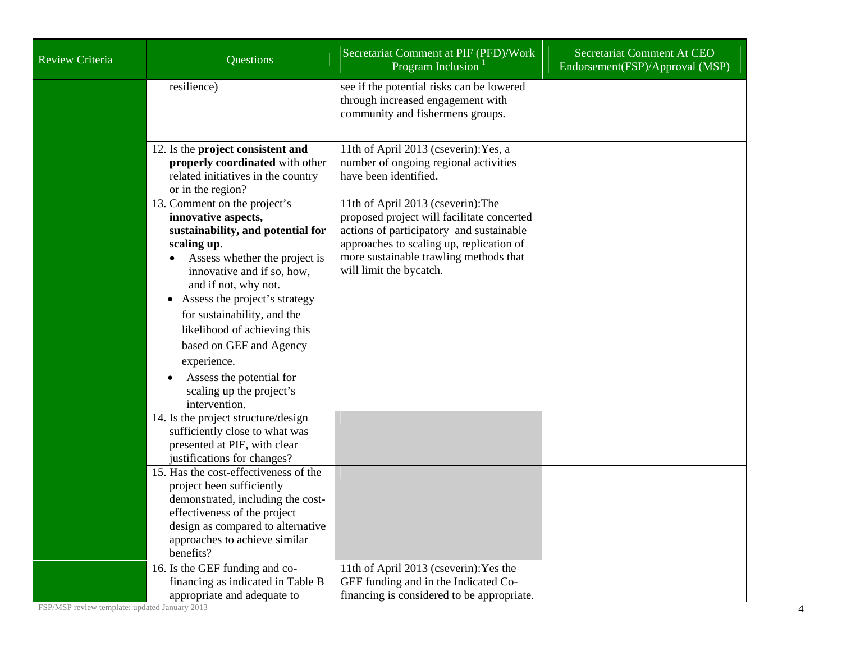| Review Criteria | Questions                                                                                                                                                                                                                                                                                                                                                                                                     | Secretariat Comment at PIF (PFD)/Work<br>Program Inclusion                                                                                                                                                                                    | Secretariat Comment At CEO<br>Endorsement(FSP)/Approval (MSP) |
|-----------------|---------------------------------------------------------------------------------------------------------------------------------------------------------------------------------------------------------------------------------------------------------------------------------------------------------------------------------------------------------------------------------------------------------------|-----------------------------------------------------------------------------------------------------------------------------------------------------------------------------------------------------------------------------------------------|---------------------------------------------------------------|
|                 | resilience)                                                                                                                                                                                                                                                                                                                                                                                                   | see if the potential risks can be lowered<br>through increased engagement with<br>community and fishermens groups.                                                                                                                            |                                                               |
|                 | 12. Is the project consistent and<br>properly coordinated with other<br>related initiatives in the country<br>or in the region?                                                                                                                                                                                                                                                                               | 11th of April 2013 (cseverin): Yes, a<br>number of ongoing regional activities<br>have been identified.                                                                                                                                       |                                                               |
|                 | 13. Comment on the project's<br>innovative aspects,<br>sustainability, and potential for<br>scaling up.<br>Assess whether the project is<br>innovative and if so, how,<br>and if not, why not.<br>Assess the project's strategy<br>$\bullet$<br>for sustainability, and the<br>likelihood of achieving this<br>based on GEF and Agency<br>experience.<br>Assess the potential for<br>scaling up the project's | 11th of April 2013 (cseverin): The<br>proposed project will facilitate concerted<br>actions of participatory and sustainable<br>approaches to scaling up, replication of<br>more sustainable trawling methods that<br>will limit the bycatch. |                                                               |
|                 | intervention.<br>14. Is the project structure/design<br>sufficiently close to what was<br>presented at PIF, with clear<br>justifications for changes?                                                                                                                                                                                                                                                         |                                                                                                                                                                                                                                               |                                                               |
|                 | 15. Has the cost-effectiveness of the<br>project been sufficiently<br>demonstrated, including the cost-<br>effectiveness of the project<br>design as compared to alternative<br>approaches to achieve similar<br>benefits?                                                                                                                                                                                    |                                                                                                                                                                                                                                               |                                                               |
|                 | 16. Is the GEF funding and co-<br>financing as indicated in Table B<br>appropriate and adequate to                                                                                                                                                                                                                                                                                                            | 11th of April 2013 (cseverin): Yes the<br>GEF funding and in the Indicated Co-<br>financing is considered to be appropriate.                                                                                                                  |                                                               |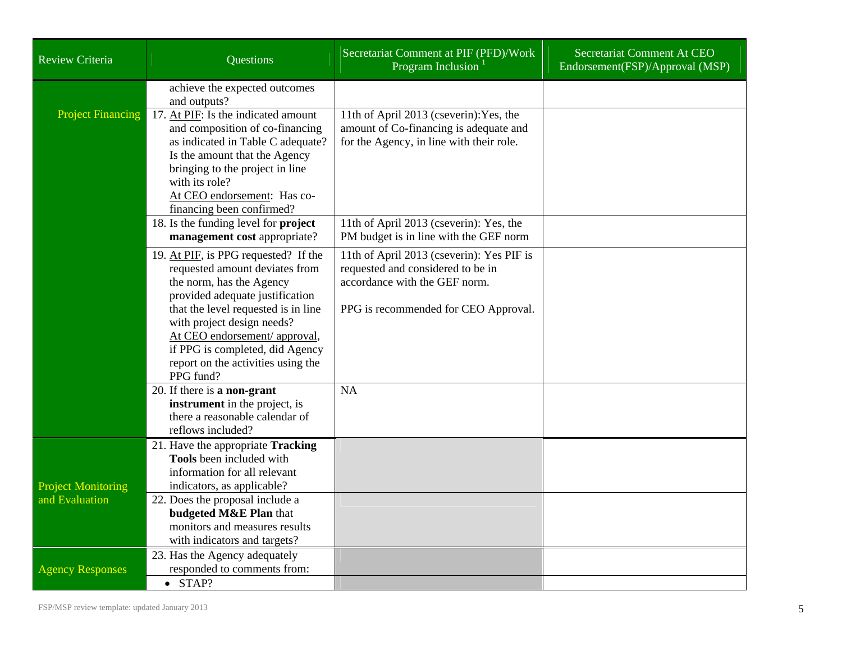| <b>Review Criteria</b>    | <b>Questions</b>                                                                                                                      | Secretariat Comment at PIF (PFD)/Work<br>Program Inclusion <sup>1</sup>                                                       | Secretariat Comment At CEO<br>Endorsement(FSP)/Approval (MSP) |
|---------------------------|---------------------------------------------------------------------------------------------------------------------------------------|-------------------------------------------------------------------------------------------------------------------------------|---------------------------------------------------------------|
|                           | achieve the expected outcomes<br>and outputs?                                                                                         |                                                                                                                               |                                                               |
| <b>Project Financing</b>  | 17. At PIF: Is the indicated amount<br>and composition of co-financing<br>as indicated in Table C adequate?                           | 11th of April 2013 (cseverin): Yes, the<br>amount of Co-financing is adequate and<br>for the Agency, in line with their role. |                                                               |
|                           | Is the amount that the Agency<br>bringing to the project in line<br>with its role?<br>At CEO endorsement: Has co-                     |                                                                                                                               |                                                               |
|                           | financing been confirmed?                                                                                                             |                                                                                                                               |                                                               |
|                           | 18. Is the funding level for project<br>management cost appropriate?                                                                  | 11th of April 2013 (cseverin): Yes, the<br>PM budget is in line with the GEF norm                                             |                                                               |
|                           | 19. At PIF, is PPG requested? If the<br>requested amount deviates from<br>the norm, has the Agency<br>provided adequate justification | 11th of April 2013 (cseverin): Yes PIF is<br>requested and considered to be in<br>accordance with the GEF norm.               |                                                               |
|                           | that the level requested is in line<br>with project design needs?<br>At CEO endorsement/ approval,<br>if PPG is completed, did Agency | PPG is recommended for CEO Approval.                                                                                          |                                                               |
|                           | report on the activities using the<br>PPG fund?                                                                                       |                                                                                                                               |                                                               |
|                           | 20. If there is a non-grant<br>instrument in the project, is<br>there a reasonable calendar of<br>reflows included?                   | <b>NA</b>                                                                                                                     |                                                               |
|                           | 21. Have the appropriate Tracking<br>Tools been included with<br>information for all relevant                                         |                                                                                                                               |                                                               |
| <b>Project Monitoring</b> | indicators, as applicable?                                                                                                            |                                                                                                                               |                                                               |
| and Evaluation            | 22. Does the proposal include a<br>budgeted M&E Plan that<br>monitors and measures results                                            |                                                                                                                               |                                                               |
|                           | with indicators and targets?                                                                                                          |                                                                                                                               |                                                               |
| <b>Agency Responses</b>   | 23. Has the Agency adequately<br>responded to comments from:                                                                          |                                                                                                                               |                                                               |
|                           | $\bullet$ STAP?                                                                                                                       |                                                                                                                               |                                                               |